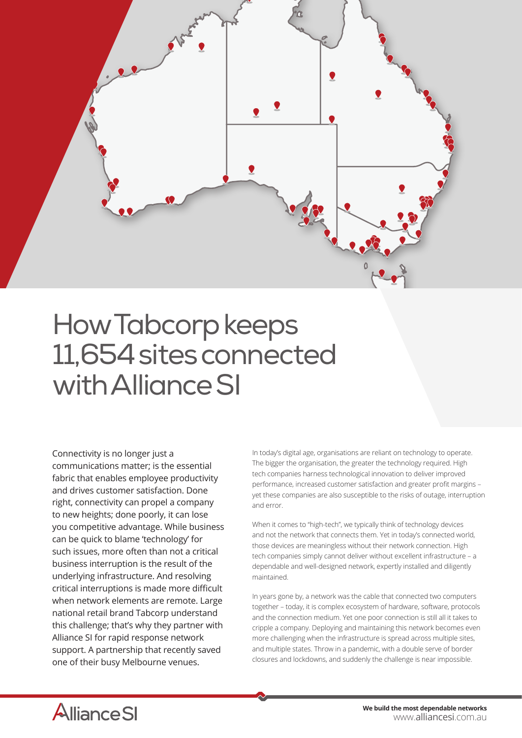

## How Tabcorp keeps 11,654 sites connected with Alliance SI

Connectivity is no longer just a communications matter; is the essential fabric that enables employee productivity and drives customer satisfaction. Done right, connectivity can propel a company to new heights; done poorly, it can lose you competitive advantage. While business can be quick to blame 'technology' for such issues, more often than not a critical business interruption is the result of the underlying infrastructure. And resolving critical interruptions is made more difficult when network elements are remote. Large national retail brand Tabcorp understand this challenge; that's why they partner with Alliance SI for rapid response network support. A partnership that recently saved one of their busy Melbourne venues.

In today's digital age, organisations are reliant on technology to operate. The bigger the organisation, the greater the technology required. High tech companies harness technological innovation to deliver improved performance, increased customer satisfaction and greater profit margins – yet these companies are also susceptible to the risks of outage, interruption and error.

When it comes to "high-tech", we typically think of technology devices and not the network that connects them. Yet in today's connected world, those devices are meaningless without their network connection. High tech companies simply cannot deliver without excellent infrastructure – a dependable and well-designed network, expertly installed and diligently maintained.

In years gone by, a network was the cable that connected two computers together – today, it is complex ecosystem of hardware, software, protocols and the connection medium. Yet one poor connection is still all it takes to cripple a company. Deploying and maintaining this network becomes even more challenging when the infrastructure is spread across multiple sites, and multiple states. Throw in a pandemic, with a double serve of border closures and lockdowns, and suddenly the challenge is near impossible.